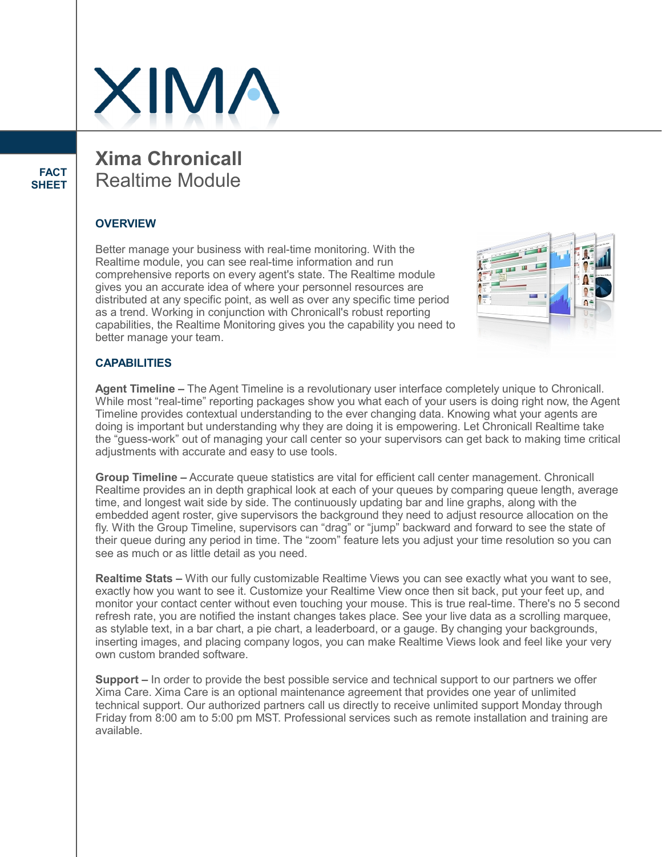

**FACT SHEET** **Xima Chronicall** Realtime Module

### **OVERVIEW**

Better manage your business with real-time monitoring. With the Realtime module, you can see real-time information and run comprehensive reports on every agent's state. The Realtime module gives you an accurate idea of where your personnel resources are distributed at any specific point, as well as over any specific time period as a trend. Working in conjunction with Chronicall's robust reporting capabilities, the Realtime Monitoring gives you the capability you need to better manage your team.



#### **CAPABILITIES**

**Agent Timeline –** The Agent Timeline is a revolutionary user interface completely unique to Chronicall. While most "real-time" reporting packages show you what each of your users is doing right now, the Agent Timeline provides contextual understanding to the ever changing data. Knowing what your agents are doing is important but understanding why they are doing it is empowering. Let Chronicall Realtime take the "guess-work" out of managing your call center so your supervisors can get back to making time critical adjustments with accurate and easy to use tools.

**Group Timeline –** Accurate queue statistics are vital for efficient call center management. Chronicall Realtime provides an in depth graphical look at each of your queues by comparing queue length, average time, and longest wait side by side. The continuously updating bar and line graphs, along with the embedded agent roster, give supervisors the background they need to adjust resource allocation on the fly. With the Group Timeline, supervisors can "drag" or "jump" backward and forward to see the state of their queue during any period in time. The "zoom" feature lets you adjust your time resolution so you can see as much or as little detail as you need.

**Realtime Stats –** With our fully customizable Realtime Views you can see exactly what you want to see, exactly how you want to see it. Customize your Realtime View once then sit back, put your feet up, and monitor your contact center without even touching your mouse. This is true real-time. There's no 5 second refresh rate, you are notified the instant changes takes place. See your live data as a scrolling marquee, as stylable text, in a bar chart, a pie chart, a leaderboard, or a gauge. By changing your backgrounds, inserting images, and placing company logos, you can make Realtime Views look and feel like your very own custom branded software.

**Support –** In order to provide the best possible service and technical support to our partners we offer Xima Care. Xima Care is an optional maintenance agreement that provides one year of unlimited technical support. Our authorized partners call us directly to receive unlimited support Monday through Friday from 8:00 am to 5:00 pm MST. Professional services such as remote installation and training are available.